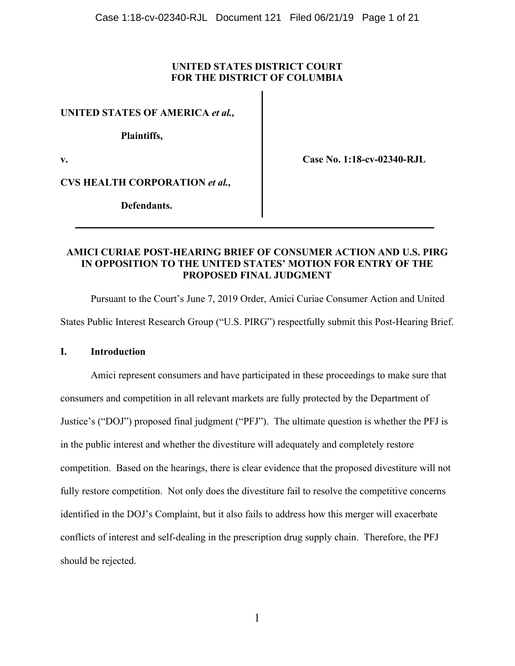# **UNITED STATES DISTRICT COURT FOR THE DISTRICT OF COLUMBIA**

**UNITED STATES OF AMERICA** *et al.,*

**Plaintiffs,**

**v. Case No. 1:18-cv-02340-RJL**

**CVS HEALTH CORPORATION** *et al.,*

**Defendants.**

## **AMICI CURIAE POST-HEARING BRIEF OF CONSUMER ACTION AND U.S. PIRG IN OPPOSITION TO THE UNITED STATES' MOTION FOR ENTRY OF THE PROPOSED FINAL JUDGMENT**

Pursuant to the Court's June 7, 2019 Order, Amici Curiae Consumer Action and United States Public Interest Research Group ("U.S. PIRG") respectfully submit this Post-Hearing Brief.

## **I. Introduction**

Amici represent consumers and have participated in these proceedings to make sure that consumers and competition in all relevant markets are fully protected by the Department of Justice's ("DOJ") proposed final judgment ("PFJ"). The ultimate question is whether the PFJ is in the public interest and whether the divestiture will adequately and completely restore competition. Based on the hearings, there is clear evidence that the proposed divestiture will not fully restore competition. Not only does the divestiture fail to resolve the competitive concerns identified in the DOJ's Complaint, but it also fails to address how this merger will exacerbate conflicts of interest and self-dealing in the prescription drug supply chain. Therefore, the PFJ should be rejected.

1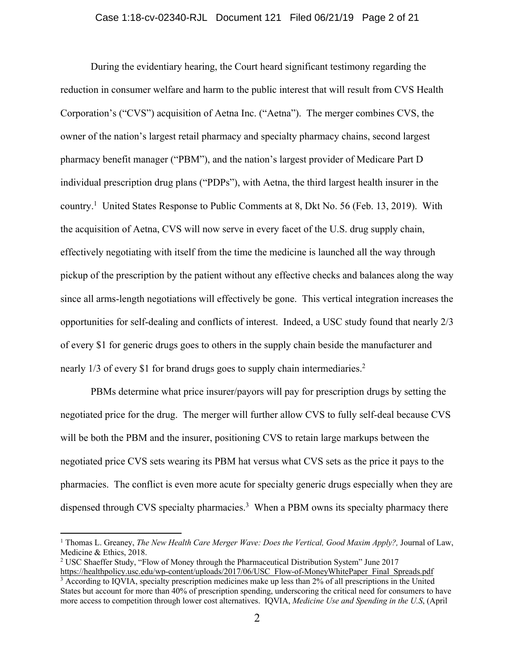### Case 1:18-cv-02340-RJL Document 121 Filed 06/21/19 Page 2 of 21

During the evidentiary hearing, the Court heard significant testimony regarding the reduction in consumer welfare and harm to the public interest that will result from CVS Health Corporation's ("CVS") acquisition of Aetna Inc. ("Aetna"). The merger combines CVS, the owner of the nation's largest retail pharmacy and specialty pharmacy chains, second largest pharmacy benefit manager ("PBM"), and the nation's largest provider of Medicare Part D individual prescription drug plans ("PDPs"), with Aetna, the third largest health insurer in the country. <sup>1</sup> United States Response to Public Comments at 8, Dkt No. 56 (Feb. 13, 2019). With the acquisition of Aetna, CVS will now serve in every facet of the U.S. drug supply chain, effectively negotiating with itself from the time the medicine is launched all the way through pickup of the prescription by the patient without any effective checks and balances along the way since all arms-length negotiations will effectively be gone. This vertical integration increases the opportunities for self-dealing and conflicts of interest. Indeed, a USC study found that nearly 2/3 of every \$1 for generic drugs goes to others in the supply chain beside the manufacturer and nearly 1/3 of every \$1 for brand drugs goes to supply chain intermediaries.<sup>2</sup>

PBMs determine what price insurer/payors will pay for prescription drugs by setting the negotiated price for the drug. The merger will further allow CVS to fully self-deal because CVS will be both the PBM and the insurer, positioning CVS to retain large markups between the negotiated price CVS sets wearing its PBM hat versus what CVS sets as the price it pays to the pharmacies. The conflict is even more acute for specialty generic drugs especially when they are dispensed through CVS specialty pharmacies.<sup>3</sup> When a PBM owns its specialty pharmacy there

<sup>1</sup> Thomas L. Greaney, *The New Health Care Merger Wave: Does the Vertical, Good Maxim Apply?,* Journal of Law, Medicine & Ethics, 2018.

<sup>2</sup> USC Shaeffer Study, "Flow of Money through the Pharmaceutical Distribution System" June 2017

https://healthpolicy.usc.edu/wp-content/uploads/2017/06/USC\_Flow-of-MoneyWhitePaper\_Final\_Spreads.pdf  $\frac{3}{3}$  According to IQVIA, specialty prescription medicines make up less than 2% of all prescriptions in the United States but account for more than 40% of prescription spending, underscoring the critical need for consumers to have more access to competition through lower cost alternatives. IQVIA, *Medicine Use and Spending in the U.S*, (April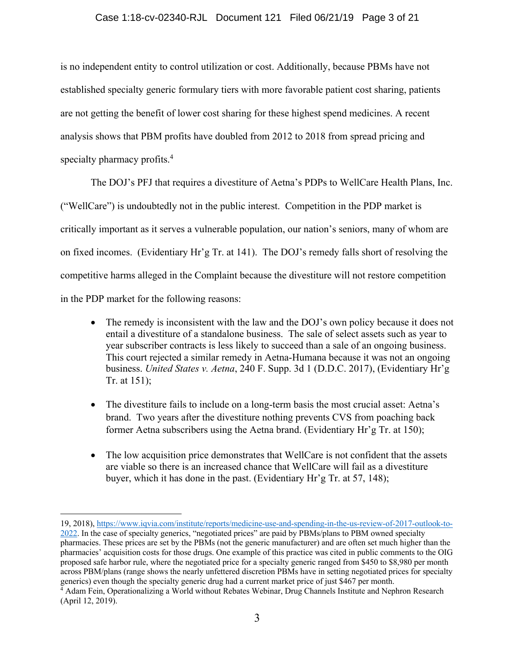### Case 1:18-cv-02340-RJL Document 121 Filed 06/21/19 Page 3 of 21

is no independent entity to control utilization or cost. Additionally, because PBMs have not established specialty generic formulary tiers with more favorable patient cost sharing, patients are not getting the benefit of lower cost sharing for these highest spend medicines. A recent analysis shows that PBM profits have doubled from 2012 to 2018 from spread pricing and specialty pharmacy profits.<sup>4</sup>

The DOJ's PFJ that requires a divestiture of Aetna's PDPs to WellCare Health Plans, Inc. ("WellCare") is undoubtedly not in the public interest. Competition in the PDP market is critically important as it serves a vulnerable population, our nation's seniors, many of whom are on fixed incomes. (Evidentiary Hr'g Tr. at 141). The DOJ's remedy falls short of resolving the competitive harms alleged in the Complaint because the divestiture will not restore competition in the PDP market for the following reasons:

- The remedy is inconsistent with the law and the DOJ's own policy because it does not entail a divestiture of a standalone business. The sale of select assets such as year to year subscriber contracts is less likely to succeed than a sale of an ongoing business. This court rejected a similar remedy in Aetna-Humana because it was not an ongoing business. *United States v. Aetna*, 240 F. Supp. 3d 1 (D.D.C. 2017), (Evidentiary Hr'g Tr. at 151);
- The divestiture fails to include on a long-term basis the most crucial asset: Aetna's brand. Two years after the divestiture nothing prevents CVS from poaching back former Aetna subscribers using the Aetna brand. (Evidentiary Hr'g Tr. at 150);
- The low acquisition price demonstrates that WellCare is not confident that the assets are viable so there is an increased chance that WellCare will fail as a divestiture buyer, which it has done in the past. (Evidentiary Hr'g Tr. at 57, 148);

<sup>19, 2018),</sup> https://www.iqvia.com/institute/reports/medicine-use-and-spending-in-the-us-review-of-2017-outlook-to-2022. In the case of specialty generics, "negotiated prices" are paid by PBMs/plans to PBM owned specialty pharmacies. These prices are set by the PBMs (not the generic manufacturer) and are often set much higher than the pharmacies' acquisition costs for those drugs. One example of this practice was cited in public comments to the OIG proposed safe harbor rule, where the negotiated price for a specialty generic ranged from \$450 to \$8,980 per month across PBM/plans (range shows the nearly unfettered discretion PBMs have in setting negotiated prices for specialty generics) even though the specialty generic drug had a current market price of just \$467 per month.

<sup>4</sup> Adam Fein, Operationalizing a World without Rebates Webinar, Drug Channels Institute and Nephron Research (April 12, 2019).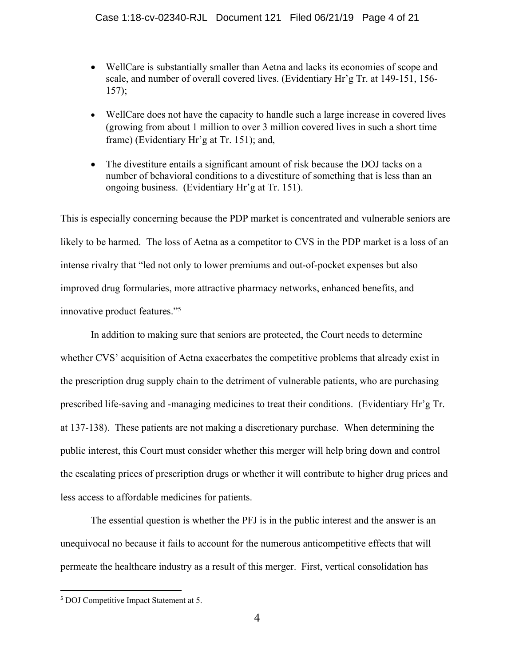- WellCare is substantially smaller than Aetna and lacks its economies of scope and scale, and number of overall covered lives. (Evidentiary Hr'g Tr. at 149-151, 156- 157);
- WellCare does not have the capacity to handle such a large increase in covered lives (growing from about 1 million to over 3 million covered lives in such a short time frame) (Evidentiary Hr'g at Tr. 151); and,
- The divestiture entails a significant amount of risk because the DOJ tacks on a number of behavioral conditions to a divestiture of something that is less than an ongoing business. (Evidentiary Hr'g at Tr. 151).

This is especially concerning because the PDP market is concentrated and vulnerable seniors are likely to be harmed. The loss of Aetna as a competitor to CVS in the PDP market is a loss of an intense rivalry that "led not only to lower premiums and out-of-pocket expenses but also improved drug formularies, more attractive pharmacy networks, enhanced benefits, and innovative product features."5

In addition to making sure that seniors are protected, the Court needs to determine whether CVS' acquisition of Aetna exacerbates the competitive problems that already exist in the prescription drug supply chain to the detriment of vulnerable patients, who are purchasing prescribed life-saving and -managing medicines to treat their conditions. (Evidentiary Hr'g Tr. at 137-138). These patients are not making a discretionary purchase. When determining the public interest, this Court must consider whether this merger will help bring down and control the escalating prices of prescription drugs or whether it will contribute to higher drug prices and less access to affordable medicines for patients.

The essential question is whether the PFJ is in the public interest and the answer is an unequivocal no because it fails to account for the numerous anticompetitive effects that will permeate the healthcare industry as a result of this merger. First, vertical consolidation has

 <sup>5</sup> DOJ Competitive Impact Statement at 5.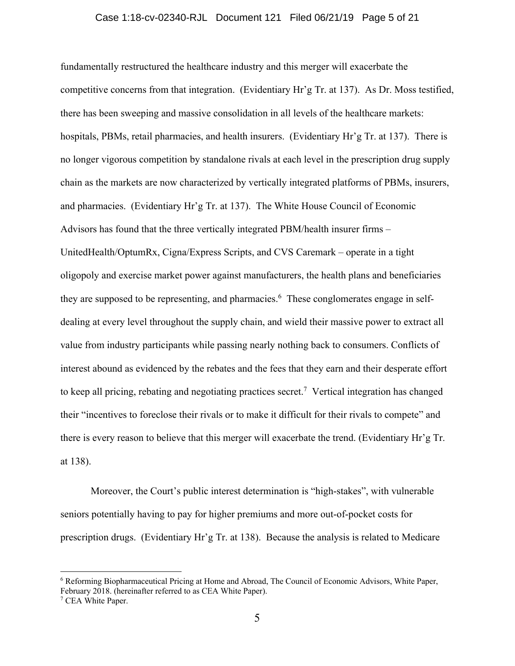#### Case 1:18-cv-02340-RJL Document 121 Filed 06/21/19 Page 5 of 21

fundamentally restructured the healthcare industry and this merger will exacerbate the competitive concerns from that integration. (Evidentiary Hr'g Tr. at 137). As Dr. Moss testified, there has been sweeping and massive consolidation in all levels of the healthcare markets: hospitals, PBMs, retail pharmacies, and health insurers. (Evidentiary Hr'g Tr. at 137). There is no longer vigorous competition by standalone rivals at each level in the prescription drug supply chain as the markets are now characterized by vertically integrated platforms of PBMs, insurers, and pharmacies. (Evidentiary Hr'g Tr. at 137). The White House Council of Economic Advisors has found that the three vertically integrated PBM/health insurer firms – UnitedHealth/OptumRx, Cigna/Express Scripts, and CVS Caremark – operate in a tight oligopoly and exercise market power against manufacturers, the health plans and beneficiaries they are supposed to be representing, and pharmacies.<sup>6</sup> These conglomerates engage in selfdealing at every level throughout the supply chain, and wield their massive power to extract all value from industry participants while passing nearly nothing back to consumers. Conflicts of interest abound as evidenced by the rebates and the fees that they earn and their desperate effort to keep all pricing, rebating and negotiating practices secret. <sup>7</sup> Vertical integration has changed their "incentives to foreclose their rivals or to make it difficult for their rivals to compete" and there is every reason to believe that this merger will exacerbate the trend. (Evidentiary Hr'g Tr. at 138).

Moreover, the Court's public interest determination is "high-stakes", with vulnerable seniors potentially having to pay for higher premiums and more out-of-pocket costs for prescription drugs. (Evidentiary Hr'g Tr. at 138). Because the analysis is related to Medicare

<sup>6</sup> Reforming Biopharmaceutical Pricing at Home and Abroad, The Council of Economic Advisors, White Paper, February 2018. (hereinafter referred to as CEA White Paper).

<sup>7</sup> CEA White Paper.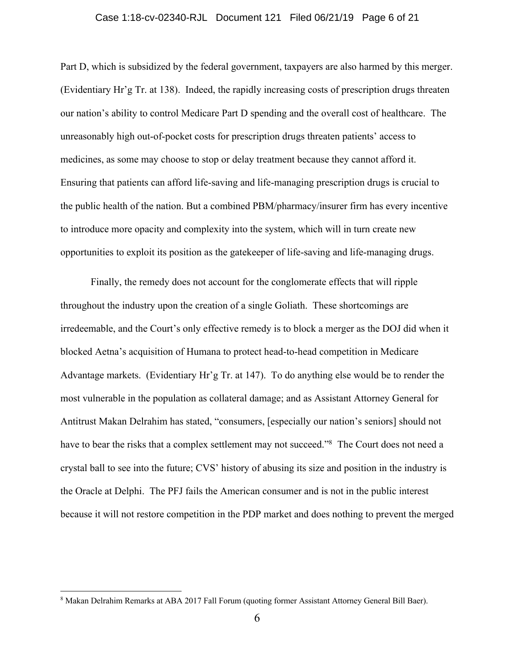#### Case 1:18-cv-02340-RJL Document 121 Filed 06/21/19 Page 6 of 21

Part D, which is subsidized by the federal government, taxpayers are also harmed by this merger. (Evidentiary Hr'g Tr. at 138). Indeed, the rapidly increasing costs of prescription drugs threaten our nation's ability to control Medicare Part D spending and the overall cost of healthcare. The unreasonably high out-of-pocket costs for prescription drugs threaten patients' access to medicines, as some may choose to stop or delay treatment because they cannot afford it. Ensuring that patients can afford life-saving and life-managing prescription drugs is crucial to the public health of the nation. But a combined PBM/pharmacy/insurer firm has every incentive to introduce more opacity and complexity into the system, which will in turn create new opportunities to exploit its position as the gatekeeper of life-saving and life-managing drugs.

Finally, the remedy does not account for the conglomerate effects that will ripple throughout the industry upon the creation of a single Goliath. These shortcomings are irredeemable, and the Court's only effective remedy is to block a merger as the DOJ did when it blocked Aetna's acquisition of Humana to protect head-to-head competition in Medicare Advantage markets. (Evidentiary Hr'g Tr. at 147). To do anything else would be to render the most vulnerable in the population as collateral damage; and as Assistant Attorney General for Antitrust Makan Delrahim has stated, "consumers, [especially our nation's seniors] should not have to bear the risks that a complex settlement may not succeed."<sup>8</sup> The Court does not need a crystal ball to see into the future; CVS' history of abusing its size and position in the industry is the Oracle at Delphi. The PFJ fails the American consumer and is not in the public interest because it will not restore competition in the PDP market and does nothing to prevent the merged

<sup>8</sup> Makan Delrahim Remarks at ABA 2017 Fall Forum (quoting former Assistant Attorney General Bill Baer).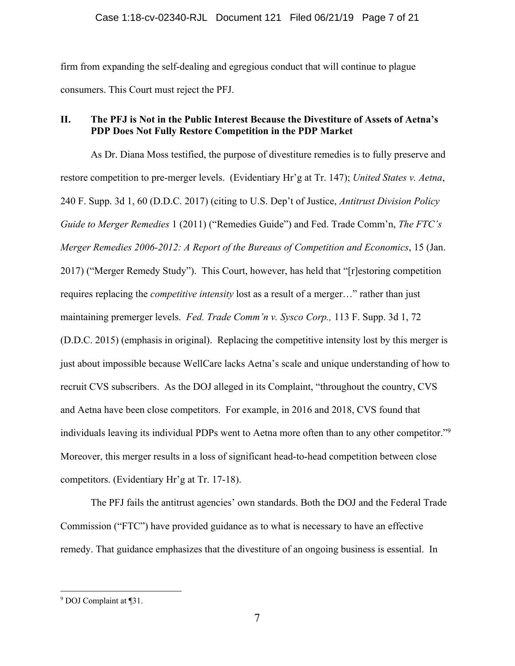firm from expanding the self-dealing and egregious conduct that will continue to plague consumers. This Court must reject the PFJ.

# **II. The PFJ is Not in the Public Interest Because the Divestiture of Assets of Aetna's PDP Does Not Fully Restore Competition in the PDP Market**

As Dr. Diana Moss testified, the purpose of divestiture remedies is to fully preserve and restore competition to pre-merger levels. (Evidentiary Hr'g at Tr. 147); *United States v. Aetna*, 240 F. Supp. 3d 1, 60 (D.D.C. 2017) (citing to U.S. Dep't of Justice, *Antitrust Division Policy Guide to Merger Remedies* 1 (2011) ("Remedies Guide") and Fed. Trade Comm'n, *The FTC's Merger Remedies 2006-2012: A Report of the Bureaus of Competition and Economics*, 15 (Jan. 2017) ("Merger Remedy Study"). This Court, however, has held that "[r]estoring competition requires replacing the *competitive intensity* lost as a result of a merger…" rather than just maintaining premerger levels. *Fed. Trade Comm'n v. Sysco Corp.,* 113 F. Supp. 3d 1, 72 (D.D.C. 2015) (emphasis in original). Replacing the competitive intensity lost by this merger is just about impossible because WellCare lacks Aetna's scale and unique understanding of how to recruit CVS subscribers. As the DOJ alleged in its Complaint, "throughout the country, CVS and Aetna have been close competitors. For example, in 2016 and 2018, CVS found that individuals leaving its individual PDPs went to Aetna more often than to any other competitor."<sup>9</sup> Moreover, this merger results in a loss of significant head-to-head competition between close competitors. (Evidentiary Hr'g at Tr. 17-18).

The PFJ fails the antitrust agencies' own standards. Both the DOJ and the Federal Trade Commission ("FTC") have provided guidance as to what is necessary to have an effective remedy. That guidance emphasizes that the divestiture of an ongoing business is essential. In

<sup>9</sup> DOJ Complaint at ¶31.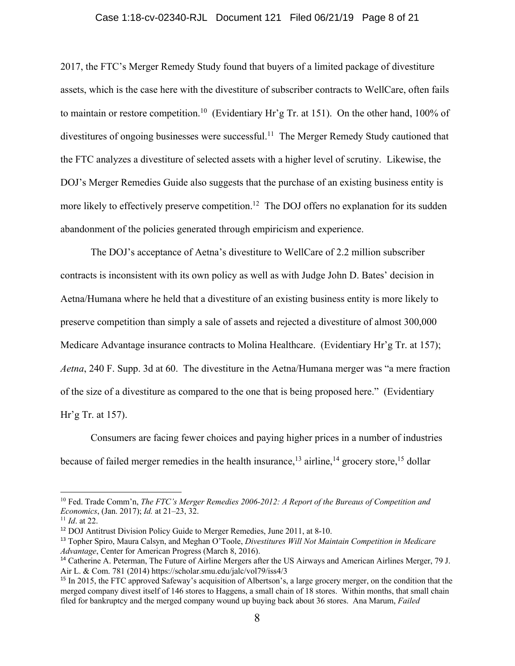### Case 1:18-cv-02340-RJL Document 121 Filed 06/21/19 Page 8 of 21

2017, the FTC's Merger Remedy Study found that buyers of a limited package of divestiture assets, which is the case here with the divestiture of subscriber contracts to WellCare, often fails to maintain or restore competition.<sup>10</sup> (Evidentiary Hr'g Tr. at 151). On the other hand, 100% of divestitures of ongoing businesses were successful.<sup>11</sup> The Merger Remedy Study cautioned that the FTC analyzes a divestiture of selected assets with a higher level of scrutiny. Likewise, the DOJ's Merger Remedies Guide also suggests that the purchase of an existing business entity is more likely to effectively preserve competition.<sup>12</sup> The DOJ offers no explanation for its sudden abandonment of the policies generated through empiricism and experience.

The DOJ's acceptance of Aetna's divestiture to WellCare of 2.2 million subscriber contracts is inconsistent with its own policy as well as with Judge John D. Bates' decision in Aetna/Humana where he held that a divestiture of an existing business entity is more likely to preserve competition than simply a sale of assets and rejected a divestiture of almost 300,000 Medicare Advantage insurance contracts to Molina Healthcare. (Evidentiary Hr'g Tr. at 157); *Aetna*, 240 F. Supp. 3d at 60. The divestiture in the Aetna/Humana merger was "a mere fraction of the size of a divestiture as compared to the one that is being proposed here." (Evidentiary Hr'g Tr. at 157).

Consumers are facing fewer choices and paying higher prices in a number of industries because of failed merger remedies in the health insurance,  $^{13}$  airline,  $^{14}$  grocery store,  $^{15}$  dollar

<sup>10</sup> Fed. Trade Comm'n, *The FTC's Merger Remedies 2006-2012: A Report of the Bureaus of Competition and Economics*, (Jan. 2017); *Id.* at 21–23, 32.

<sup>11</sup> *Id*. at 22.

<sup>12</sup> DOJ Antitrust Division Policy Guide to Merger Remedies, June 2011, at 8-10.

<sup>13</sup> Topher Spiro, Maura Calsyn, and Meghan O'Toole, *Divestitures Will Not Maintain Competition in Medicare Advantage*, Center for American Progress (March 8, 2016).

<sup>&</sup>lt;sup>14</sup> Catherine A. Peterman, The Future of Airline Mergers after the US Airways and American Airlines Merger, 79 J. Air L. & Com. 781 (2014) https://scholar.smu.edu/jalc/vol79/iss4/3

<sup>&</sup>lt;sup>15</sup> In 2015, the FTC approved Safeway's acquisition of Albertson's, a large grocery merger, on the condition that the merged company divest itself of 146 stores to Haggens, a small chain of 18 stores. Within months, that small chain filed for bankruptcy and the merged company wound up buying back about 36 stores. Ana Marum, *Failed*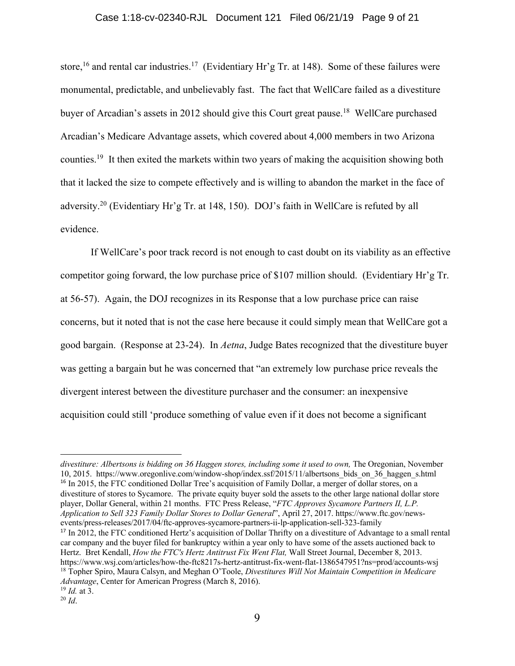### Case 1:18-cv-02340-RJL Document 121 Filed 06/21/19 Page 9 of 21

store,<sup>16</sup> and rental car industries.<sup>17</sup> (Evidentiary Hr'g Tr. at 148). Some of these failures were monumental, predictable, and unbelievably fast. The fact that WellCare failed as a divestiture buyer of Arcadian's assets in 2012 should give this Court great pause.<sup>18</sup> WellCare purchased Arcadian's Medicare Advantage assets, which covered about 4,000 members in two Arizona counties.19 It then exited the markets within two years of making the acquisition showing both that it lacked the size to compete effectively and is willing to abandon the market in the face of adversity.20 (Evidentiary Hr'g Tr. at 148, 150). DOJ's faith in WellCare is refuted by all evidence.

If WellCare's poor track record is not enough to cast doubt on its viability as an effective competitor going forward, the low purchase price of \$107 million should. (Evidentiary Hr'g Tr. at 56-57). Again, the DOJ recognizes in its Response that a low purchase price can raise concerns, but it noted that is not the case here because it could simply mean that WellCare got a good bargain. (Response at 23-24). In *Aetna*, Judge Bates recognized that the divestiture buyer was getting a bargain but he was concerned that "an extremely low purchase price reveals the divergent interest between the divestiture purchaser and the consumer: an inexpensive acquisition could still 'produce something of value even if it does not become a significant

divestiture: Albertsons is bidding on 36 Haggen stores, including some it used to own, The Oregonian, November 10, 2015. https://www.oregonlive.com/window-shop/index.ssf/2015/11/albertsons\_bids\_on\_36\_haggen\_s.html <sup>16</sup> In 2015, the FTC conditioned Dollar Tree's acquisition of Family Dollar, a merger of dollar stores, on a divestiture of stores to Sycamore. The private equity buyer sold the assets to the other large national dollar store player, Dollar General, within 21 months. FTC Press Release, "*FTC Approves Sycamore Partners II, L.P. Application to Sell 323 Family Dollar Stores to Dollar General*", April 27, 2017. https://www.ftc.gov/newsevents/press-releases/2017/04/ftc-approves-sycamore-partners-ii-lp-application-sell-323-family <sup>17</sup> In 2012, the FTC conditioned Hertz's acquisition of Dollar Thrifty on a divestiture of Advantage to a small rental car company and the buyer filed for bankruptcy within a year only to have some of the assets auctioned back to Hertz. Bret Kendall, *How the FTC's Hertz Antitrust Fix Went Flat,* Wall Street Journal, December 8, 2013. https://www.wsj.com/articles/how-the-ftc8217s-hertz-antitrust-fix-went-flat-1386547951?ns=prod/accounts-wsj <sup>18</sup> Topher Spiro, Maura Calsyn, and Meghan O'Toole, *Divestitures Will Not Maintain Competition in Medicare Advantage*, Center for American Progress (March 8, 2016).

<sup>19</sup> *Id.* at 3.

<sup>20</sup> *Id*.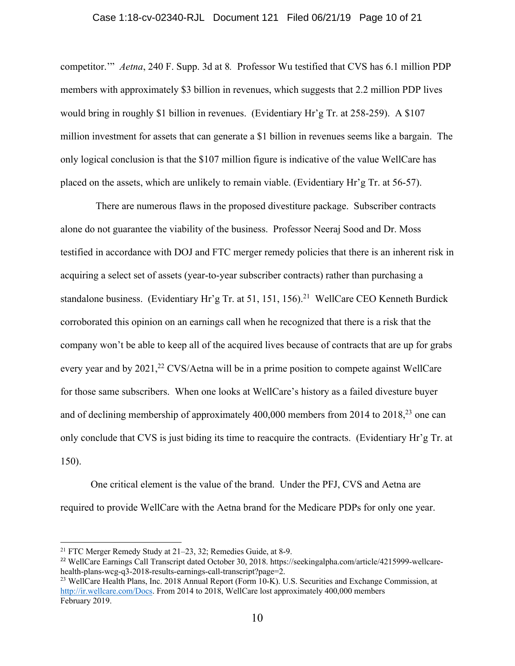### Case 1:18-cv-02340-RJL Document 121 Filed 06/21/19 Page 10 of 21

competitor.'" *Aetna*, 240 F. Supp. 3d at 8*.* Professor Wu testified that CVS has 6.1 million PDP members with approximately \$3 billion in revenues, which suggests that 2.2 million PDP lives would bring in roughly \$1 billion in revenues. (Evidentiary Hr'g Tr. at 258-259). A \$107 million investment for assets that can generate a \$1 billion in revenues seems like a bargain. The only logical conclusion is that the \$107 million figure is indicative of the value WellCare has placed on the assets, which are unlikely to remain viable. (Evidentiary Hr'g Tr. at 56-57).

 There are numerous flaws in the proposed divestiture package. Subscriber contracts alone do not guarantee the viability of the business. Professor Neeraj Sood and Dr. Moss testified in accordance with DOJ and FTC merger remedy policies that there is an inherent risk in acquiring a select set of assets (year-to-year subscriber contracts) rather than purchasing a standalone business. (Evidentiary Hr'g Tr. at 51, 151, 156).<sup>21</sup> WellCare CEO Kenneth Burdick corroborated this opinion on an earnings call when he recognized that there is a risk that the company won't be able to keep all of the acquired lives because of contracts that are up for grabs every year and by 2021,<sup>22</sup> CVS/Aetna will be in a prime position to compete against WellCare for those same subscribers. When one looks at WellCare's history as a failed divesture buyer and of declining membership of approximately 400,000 members from 2014 to 2018, <sup>23</sup> one can only conclude that CVS is just biding its time to reacquire the contracts. (Evidentiary Hr'g Tr. at 150).

One critical element is the value of the brand. Under the PFJ, CVS and Aetna are required to provide WellCare with the Aetna brand for the Medicare PDPs for only one year.

<sup>21</sup> FTC Merger Remedy Study at 21–23, 32; Remedies Guide, at 8-9.

<sup>22</sup> WellCare Earnings Call Transcript dated October 30, 2018. https://seekingalpha.com/article/4215999-wellcarehealth-plans-wcg-q3-2018-results-earnings-call-transcript?page=2.

<sup>&</sup>lt;sup>23</sup> WellCare Health Plans, Inc. 2018 Annual Report (Form 10-K). U.S. Securities and Exchange Commission, at http://ir.wellcare.com/Docs. From 2014 to 2018, WellCare lost approximately 400,000 members February 2019.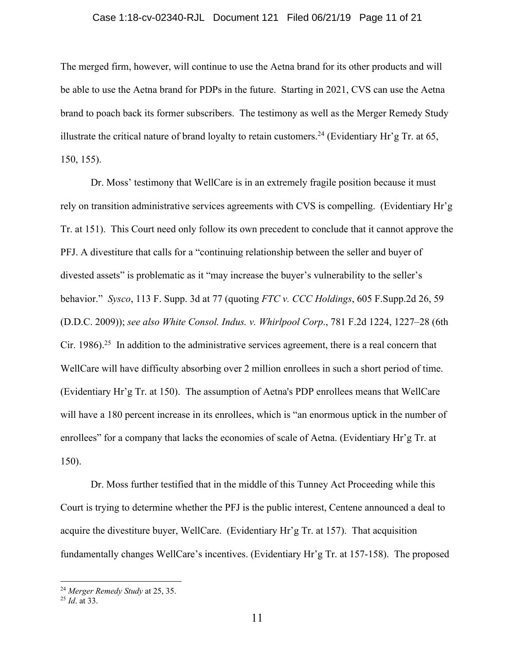### Case 1:18-cv-02340-RJL Document 121 Filed 06/21/19 Page 11 of 21

The merged firm, however, will continue to use the Aetna brand for its other products and will be able to use the Aetna brand for PDPs in the future. Starting in 2021, CVS can use the Aetna brand to poach back its former subscribers. The testimony as well as the Merger Remedy Study illustrate the critical nature of brand loyalty to retain customers.<sup>24</sup> (Evidentiary Hr'g Tr. at 65, 150, 155).

Dr. Moss' testimony that WellCare is in an extremely fragile position because it must rely on transition administrative services agreements with CVS is compelling. (Evidentiary Hr'g Tr. at 151). This Court need only follow its own precedent to conclude that it cannot approve the PFJ. A divestiture that calls for a "continuing relationship between the seller and buyer of divested assets" is problematic as it "may increase the buyer's vulnerability to the seller's behavior." *Sysco*, 113 F. Supp. 3d at 77 (quoting *FTC v. CCC Holdings*, 605 F.Supp.2d 26, 59 (D.D.C. 2009)); *see also White Consol. Indus. v. Whirlpool Corp*., 781 F.2d 1224, 1227–28 (6th Cir. 1986).<sup>25</sup> In addition to the administrative services agreement, there is a real concern that WellCare will have difficulty absorbing over 2 million enrollees in such a short period of time. (Evidentiary Hr'g Tr. at 150). The assumption of Aetna's PDP enrollees means that WellCare will have a 180 percent increase in its enrollees, which is "an enormous uptick in the number of enrollees" for a company that lacks the economies of scale of Aetna. (Evidentiary Hr'g Tr. at 150).

Dr. Moss further testified that in the middle of this Tunney Act Proceeding while this Court is trying to determine whether the PFJ is the public interest, Centene announced a deal to acquire the divestiture buyer, WellCare. (Evidentiary Hr'g Tr. at 157). That acquisition fundamentally changes WellCare's incentives. (Evidentiary Hr'g Tr. at 157-158). The proposed

<sup>24</sup> *Merger Remedy Study* at 25, 35.

<sup>25</sup> *Id*. at 33.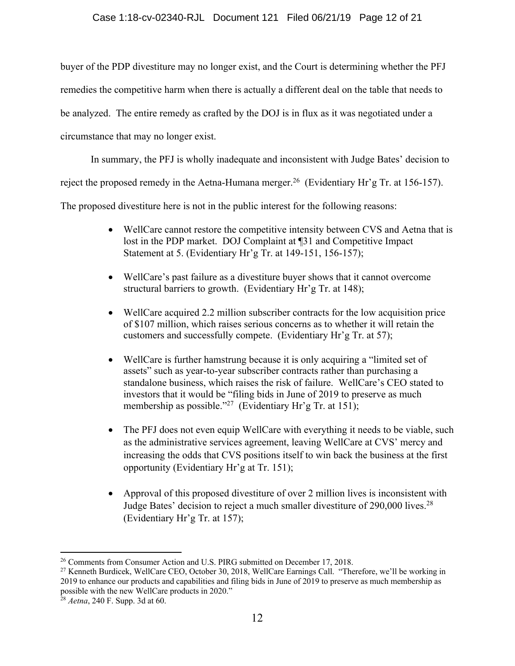## Case 1:18-cv-02340-RJL Document 121 Filed 06/21/19 Page 12 of 21

buyer of the PDP divestiture may no longer exist, and the Court is determining whether the PFJ remedies the competitive harm when there is actually a different deal on the table that needs to be analyzed. The entire remedy as crafted by the DOJ is in flux as it was negotiated under a circumstance that may no longer exist.

In summary, the PFJ is wholly inadequate and inconsistent with Judge Bates' decision to

reject the proposed remedy in the Aetna-Humana merger.<sup>26</sup> (Evidentiary Hr'g Tr. at 156-157).

The proposed divestiture here is not in the public interest for the following reasons:

- WellCare cannot restore the competitive intensity between CVS and Aetna that is lost in the PDP market. DOJ Complaint at ¶31 and Competitive Impact Statement at 5. (Evidentiary Hr'g Tr. at 149-151, 156-157);
- WellCare's past failure as a divestiture buyer shows that it cannot overcome structural barriers to growth. (Evidentiary Hr'g Tr. at 148);
- WellCare acquired 2.2 million subscriber contracts for the low acquisition price of \$107 million, which raises serious concerns as to whether it will retain the customers and successfully compete. (Evidentiary Hr'g Tr. at 57);
- WellCare is further hamstrung because it is only acquiring a "limited set of assets" such as year-to-year subscriber contracts rather than purchasing a standalone business, which raises the risk of failure. WellCare's CEO stated to investors that it would be "filing bids in June of 2019 to preserve as much membership as possible."<sup>27</sup> (Evidentiary Hr'g Tr. at 151);
- The PFJ does not even equip WellCare with everything it needs to be viable, such as the administrative services agreement, leaving WellCare at CVS' mercy and increasing the odds that CVS positions itself to win back the business at the first opportunity (Evidentiary Hr'g at Tr. 151);
- Approval of this proposed divestiture of over 2 million lives is inconsistent with Judge Bates' decision to reject a much smaller divestiture of 290,000 lives.<sup>28</sup> (Evidentiary Hr'g Tr. at 157);

<sup>&</sup>lt;sup>26</sup> Comments from Consumer Action and U.S. PIRG submitted on December 17, 2018.

<sup>&</sup>lt;sup>27</sup> Kenneth Burdicek, WellCare CEO, October 30, 2018, WellCare Earnings Call. "Therefore, we'll be working in 2019 to enhance our products and capabilities and filing bids in June of  $2019$  to preserve as much membership as possible with the new WellCare products in 2020."

<sup>28</sup> *Aetna*, 240 F. Supp. 3d at 60.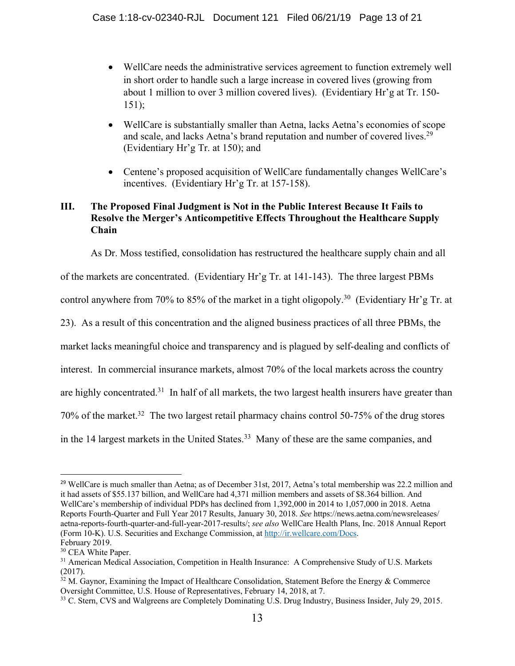- WellCare needs the administrative services agreement to function extremely well in short order to handle such a large increase in covered lives (growing from about 1 million to over 3 million covered lives). (Evidentiary Hr'g at Tr. 150- 151);
- WellCare is substantially smaller than Aetna, lacks Aetna's economies of scope and scale, and lacks Aetna's brand reputation and number of covered lives.<sup>29</sup> (Evidentiary Hr'g Tr. at 150); and
- Centene's proposed acquisition of WellCare fundamentally changes WellCare's incentives. (Evidentiary Hr'g Tr. at 157-158).

# **III. The Proposed Final Judgment is Not in the Public Interest Because It Fails to Resolve the Merger's Anticompetitive Effects Throughout the Healthcare Supply Chain**

As Dr. Moss testified, consolidation has restructured the healthcare supply chain and all

of the markets are concentrated. (Evidentiary Hr'g Tr. at 141-143). The three largest PBMs

control anywhere from 70% to 85% of the market in a tight oligopoly.<sup>30</sup> (Evidentiary Hr'g Tr. at

23). As a result of this concentration and the aligned business practices of all three PBMs, the

market lacks meaningful choice and transparency and is plagued by self-dealing and conflicts of

interest. In commercial insurance markets, almost 70% of the local markets across the country

are highly concentrated.<sup>31</sup> In half of all markets, the two largest health insurers have greater than

70% of the market.32 The two largest retail pharmacy chains control 50-75% of the drug stores

in the 14 largest markets in the United States. 33 Many of these are the same companies, and

<sup>&</sup>lt;sup>29</sup> WellCare is much smaller than Aetna; as of December 31st, 2017, Aetna's total membership was 22.2 million and it had assets of \$55.137 billion, and WellCare had 4,371 million members and assets of \$8.364 billion. And WellCare's membership of individual PDPs has declined from 1,392,000 in 2014 to 1,057,000 in 2018. Aetna Reports Fourth-Quarter and Full Year 2017 Results, January 30, 2018. *See* https://news.aetna.com/newsreleases/ aetna-reports-fourth-quarter-and-full-year-2017-results/; *see also* WellCare Health Plans, Inc. 2018 Annual Report (Form 10-K). U.S. Securities and Exchange Commission, at http://ir.wellcare.com/Docs.

February 2019.<br><sup>30</sup> CEA White Paper.

<sup>&</sup>lt;sup>31</sup> American Medical Association, Competition in Health Insurance: A Comprehensive Study of U.S. Markets (2017).

 $32$  M. Gaynor, Examining the Impact of Healthcare Consolidation, Statement Before the Energy & Commerce Oversight Committee, U.S. House of Representatives, February 14, 2018, at 7.<br><sup>33</sup> C. Stern, CVS and Walgreens are Completely Dominating U.S. Drug Industry, Business Insider, July 29, 2015.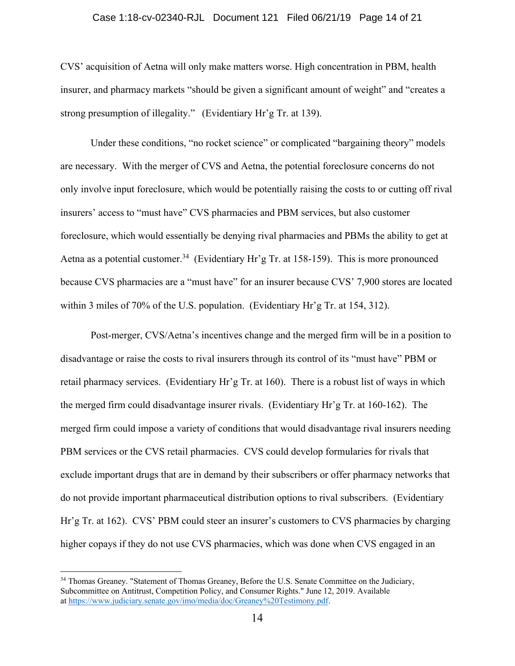### Case 1:18-cv-02340-RJL Document 121 Filed 06/21/19 Page 14 of 21

CVS' acquisition of Aetna will only make matters worse. High concentration in PBM, health insurer, and pharmacy markets "should be given a significant amount of weight" and "creates a strong presumption of illegality." (Evidentiary Hr'g Tr. at 139).

Under these conditions, "no rocket science" or complicated "bargaining theory" models are necessary. With the merger of CVS and Aetna, the potential foreclosure concerns do not only involve input foreclosure, which would be potentially raising the costs to or cutting off rival insurers' access to "must have" CVS pharmacies and PBM services, but also customer foreclosure, which would essentially be denying rival pharmacies and PBMs the ability to get at Aetna as a potential customer.<sup>34</sup> (Evidentiary Hr'g Tr. at 158-159). This is more pronounced because CVS pharmacies are a "must have" for an insurer because CVS' 7,900 stores are located within 3 miles of 70% of the U.S. population. (Evidentiary Hr'g Tr. at 154, 312).

Post-merger, CVS/Aetna's incentives change and the merged firm will be in a position to disadvantage or raise the costs to rival insurers through its control of its "must have" PBM or retail pharmacy services. (Evidentiary Hr'g Tr. at 160). There is a robust list of ways in which the merged firm could disadvantage insurer rivals. (Evidentiary Hr'g Tr. at 160-162). The merged firm could impose a variety of conditions that would disadvantage rival insurers needing PBM services or the CVS retail pharmacies. CVS could develop formularies for rivals that exclude important drugs that are in demand by their subscribers or offer pharmacy networks that do not provide important pharmaceutical distribution options to rival subscribers. (Evidentiary Hr'g Tr. at 162). CVS' PBM could steer an insurer's customers to CVS pharmacies by charging higher copays if they do not use CVS pharmacies, which was done when CVS engaged in an

<sup>&</sup>lt;sup>34</sup> Thomas Greaney. "Statement of Thomas Greaney, Before the U.S. Senate Committee on the Judiciary, Subcommittee on Antitrust, Competition Policy, and Consumer Rights." June 12, 2019. Available at https://www.judiciary.senate.gov/imo/media/doc/Greaney%20Testimony.pdf.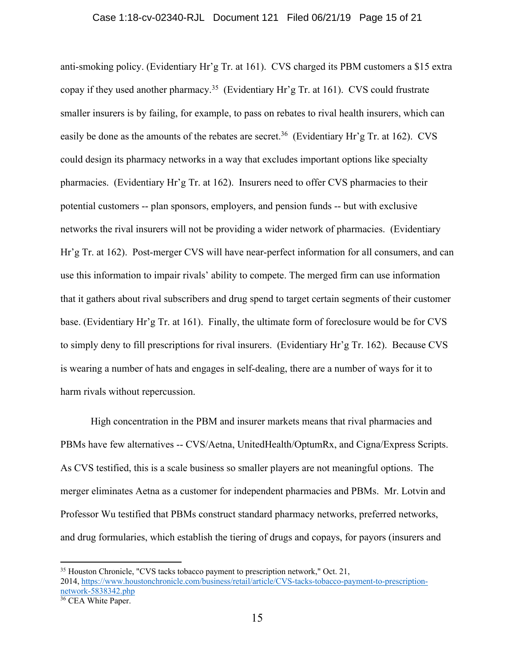anti-smoking policy. (Evidentiary Hr'g Tr. at 161). CVS charged its PBM customers a \$15 extra copay if they used another pharmacy. <sup>35</sup> (Evidentiary Hr'g Tr. at 161). CVS could frustrate smaller insurers is by failing, for example, to pass on rebates to rival health insurers, which can easily be done as the amounts of the rebates are secret.<sup>36</sup> (Evidentiary Hr'g Tr. at 162). CVS could design its pharmacy networks in a way that excludes important options like specialty pharmacies. (Evidentiary Hr'g Tr. at 162). Insurers need to offer CVS pharmacies to their potential customers -- plan sponsors, employers, and pension funds -- but with exclusive networks the rival insurers will not be providing a wider network of pharmacies. (Evidentiary Hr'g Tr. at 162). Post-merger CVS will have near-perfect information for all consumers, and can use this information to impair rivals' ability to compete. The merged firm can use information that it gathers about rival subscribers and drug spend to target certain segments of their customer base. (Evidentiary Hr'g Tr. at 161). Finally, the ultimate form of foreclosure would be for CVS to simply deny to fill prescriptions for rival insurers. (Evidentiary Hr'g Tr. 162). Because CVS is wearing a number of hats and engages in self-dealing, there are a number of ways for it to harm rivals without repercussion.

High concentration in the PBM and insurer markets means that rival pharmacies and PBMs have few alternatives -- CVS/Aetna, UnitedHealth/OptumRx, and Cigna/Express Scripts. As CVS testified, this is a scale business so smaller players are not meaningful options. The merger eliminates Aetna as a customer for independent pharmacies and PBMs. Mr. Lotvin and Professor Wu testified that PBMs construct standard pharmacy networks, preferred networks, and drug formularies, which establish the tiering of drugs and copays, for payors (insurers and

<sup>&</sup>lt;sup>35</sup> Houston Chronicle, "CVS tacks tobacco payment to prescription network," Oct. 21, 2014, https://www.houstonchronicle.com/business/retail/article/CVS-tacks-tobacco-payment-to-prescriptionnetwork-5838342.php

<sup>&</sup>lt;sup>36</sup> CEA White Paper.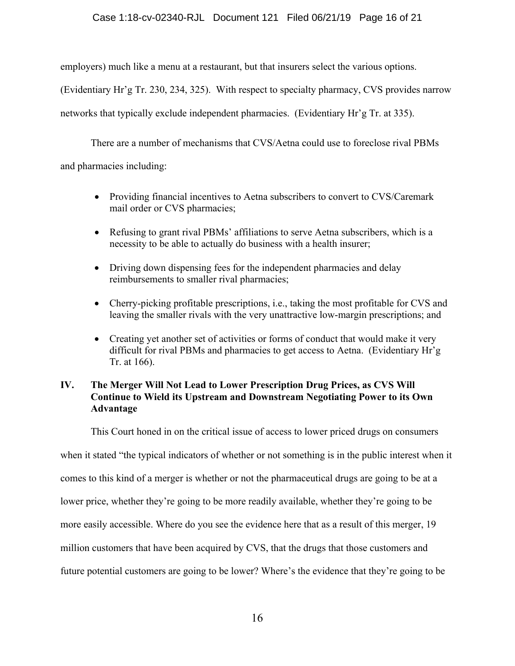## Case 1:18-cv-02340-RJL Document 121 Filed 06/21/19 Page 16 of 21

employers) much like a menu at a restaurant, but that insurers select the various options.

(Evidentiary Hr'g Tr. 230, 234, 325). With respect to specialty pharmacy, CVS provides narrow

networks that typically exclude independent pharmacies. (Evidentiary Hr'g Tr. at 335).

There are a number of mechanisms that CVS/Aetna could use to foreclose rival PBMs

and pharmacies including:

- Providing financial incentives to Aetna subscribers to convert to CVS/Caremark mail order or CVS pharmacies;
- Refusing to grant rival PBMs' affiliations to serve Aetna subscribers, which is a necessity to be able to actually do business with a health insurer;
- Driving down dispensing fees for the independent pharmacies and delay reimbursements to smaller rival pharmacies;
- Cherry-picking profitable prescriptions, i.e., taking the most profitable for CVS and leaving the smaller rivals with the very unattractive low-margin prescriptions; and
- Creating yet another set of activities or forms of conduct that would make it very difficult for rival PBMs and pharmacies to get access to Aetna. (Evidentiary Hr'g Tr. at 166).

# **IV. The Merger Will Not Lead to Lower Prescription Drug Prices, as CVS Will Continue to Wield its Upstream and Downstream Negotiating Power to its Own Advantage**

This Court honed in on the critical issue of access to lower priced drugs on consumers

when it stated "the typical indicators of whether or not something is in the public interest when it

comes to this kind of a merger is whether or not the pharmaceutical drugs are going to be at a

lower price, whether they're going to be more readily available, whether they're going to be

more easily accessible. Where do you see the evidence here that as a result of this merger, 19

million customers that have been acquired by CVS, that the drugs that those customers and

future potential customers are going to be lower? Where's the evidence that they're going to be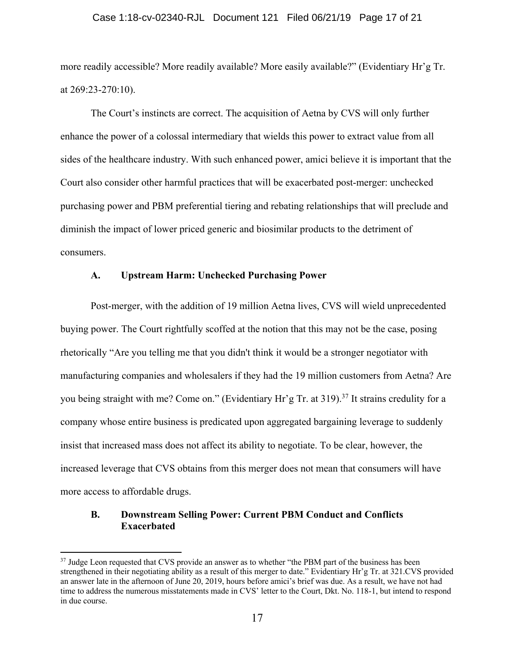### Case 1:18-cv-02340-RJL Document 121 Filed 06/21/19 Page 17 of 21

more readily accessible? More readily available? More easily available?" (Evidentiary Hr'g Tr. at 269:23-270:10).

The Court's instincts are correct. The acquisition of Aetna by CVS will only further enhance the power of a colossal intermediary that wields this power to extract value from all sides of the healthcare industry. With such enhanced power, amici believe it is important that the Court also consider other harmful practices that will be exacerbated post-merger: unchecked purchasing power and PBM preferential tiering and rebating relationships that will preclude and diminish the impact of lower priced generic and biosimilar products to the detriment of consumers.

### **A. Upstream Harm: Unchecked Purchasing Power**

Post-merger, with the addition of 19 million Aetna lives, CVS will wield unprecedented buying power. The Court rightfully scoffed at the notion that this may not be the case, posing rhetorically "Are you telling me that you didn't think it would be a stronger negotiator with manufacturing companies and wholesalers if they had the 19 million customers from Aetna? Are you being straight with me? Come on." (Evidentiary Hr'g Tr. at 319).<sup>37</sup> It strains credulity for a company whose entire business is predicated upon aggregated bargaining leverage to suddenly insist that increased mass does not affect its ability to negotiate. To be clear, however, the increased leverage that CVS obtains from this merger does not mean that consumers will have more access to affordable drugs.

### **B. Downstream Selling Power: Current PBM Conduct and Conflicts Exacerbated**

<sup>&</sup>lt;sup>37</sup> Judge Leon requested that CVS provide an answer as to whether "the PBM part of the business has been strengthened in their negotiating ability as a result of this merger to date." Evidentiary Hr'g Tr. at 321.CVS provided an answer late in the afternoon of June 20, 2019, hours before amici's brief was due. As a result, we have not had time to address the numerous misstatements made in CVS' letter to the Court, Dkt. No. 118-1, but intend to respond in due course.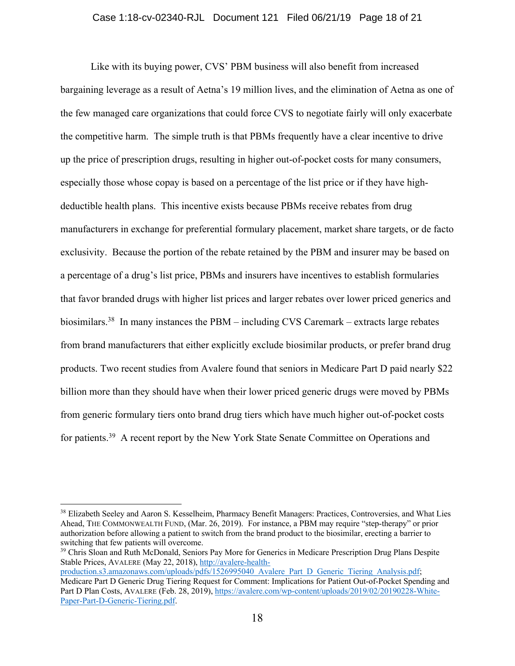Like with its buying power, CVS' PBM business will also benefit from increased bargaining leverage as a result of Aetna's 19 million lives, and the elimination of Aetna as one of the few managed care organizations that could force CVS to negotiate fairly will only exacerbate the competitive harm. The simple truth is that PBMs frequently have a clear incentive to drive up the price of prescription drugs, resulting in higher out-of-pocket costs for many consumers, especially those whose copay is based on a percentage of the list price or if they have highdeductible health plans. This incentive exists because PBMs receive rebates from drug manufacturers in exchange for preferential formulary placement, market share targets, or de facto exclusivity. Because the portion of the rebate retained by the PBM and insurer may be based on a percentage of a drug's list price, PBMs and insurers have incentives to establish formularies that favor branded drugs with higher list prices and larger rebates over lower priced generics and biosimilars.<sup>38</sup> In many instances the PBM – including CVS Caremark – extracts large rebates from brand manufacturers that either explicitly exclude biosimilar products, or prefer brand drug products. Two recent studies from Avalere found that seniors in Medicare Part D paid nearly \$22 billion more than they should have when their lower priced generic drugs were moved by PBMs from generic formulary tiers onto brand drug tiers which have much higher out-of-pocket costs for patients.39 A recent report by the New York State Senate Committee on Operations and

<sup>&</sup>lt;sup>38</sup> Elizabeth Seeley and Aaron S. Kesselheim, Pharmacy Benefit Managers: Practices, Controversies, and What Lies Ahead, THE COMMONWEALTH FUND, (Mar. 26, 2019). For instance, a PBM may require "step-therapy" or prior authorization before allowing a patient to switch from the brand product to the biosimilar, erecting a barrier to switching that few patients will overcome.

<sup>&</sup>lt;sup>39</sup> Chris Sloan and Ruth McDonald, Seniors Pay More for Generics in Medicare Prescription Drug Plans Despite Stable Prices, AVALERE (May 22, 2018), http://avalere-health-

production.s3.amazonaws.com/uploads/pdfs/1526995040\_Avalere\_Part\_D\_Generic\_Tiering\_Analysis.pdf; Medicare Part D Generic Drug Tiering Request for Comment: Implications for Patient Out-of-Pocket Spending and Part D Plan Costs, AVALERE (Feb. 28, 2019), https://avalere.com/wp-content/uploads/2019/02/20190228-White-Paper-Part-D-Generic-Tiering.pdf.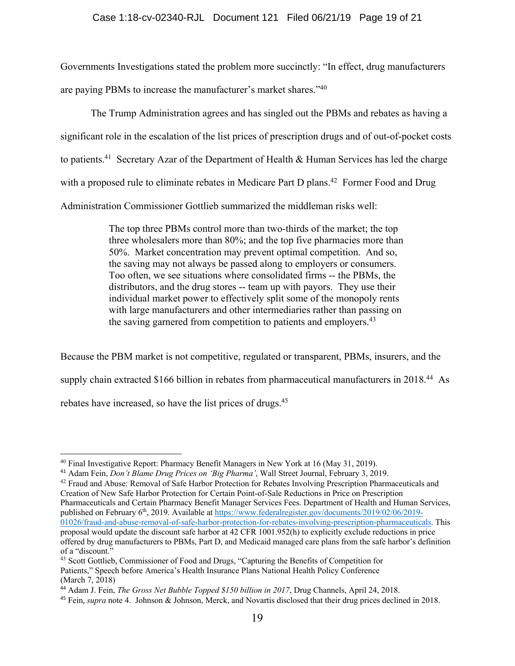### Case 1:18-cv-02340-RJL Document 121 Filed 06/21/19 Page 19 of 21

Governments Investigations stated the problem more succinctly: "In effect, drug manufacturers are paying PBMs to increase the manufacturer's market shares."40

The Trump Administration agrees and has singled out the PBMs and rebates as having a significant role in the escalation of the list prices of prescription drugs and of out-of-pocket costs to patients.<sup>41</sup> Secretary Azar of the Department of Health & Human Services has led the charge with a proposed rule to eliminate rebates in Medicare Part D plans.<sup>42</sup> Former Food and Drug Administration Commissioner Gottlieb summarized the middleman risks well:

> The top three PBMs control more than two-thirds of the market; the top three wholesalers more than 80%; and the top five pharmacies more than 50%. Market concentration may prevent optimal competition. And so, the saving may not always be passed along to employers or consumers. Too often, we see situations where consolidated firms -- the PBMs, the distributors, and the drug stores -- team up with payors. They use their individual market power to effectively split some of the monopoly rents with large manufacturers and other intermediaries rather than passing on the saving garnered from competition to patients and employers.<sup>43</sup>

Because the PBM market is not competitive, regulated or transparent, PBMs, insurers, and the supply chain extracted \$166 billion in rebates from pharmaceutical manufacturers in 2018.<sup>44</sup> As rebates have increased, so have the list prices of drugs.45

<sup>40</sup> Final Investigative Report: Pharmacy Benefit Managers in New York at 16 (May 31, 2019).

<sup>41</sup> Adam Fein, *Don't Blame Drug Prices on 'Big Pharma'*, Wall Street Journal, February 3, 2019.

<sup>&</sup>lt;sup>42</sup> Fraud and Abuse: Removal of Safe Harbor Protection for Rebates Involving Prescription Pharmaceuticals and Creation of New Safe Harbor Protection for Certain Point-of-Sale Reductions in Price on Prescription Pharmaceuticals and Certain Pharmacy Benefit Manager Services Fees. Department of Health and Human Services, published on February 6th, 2019. Available at https://www.federalregister.gov/documents/2019/02/06/2019- 01026/fraud-and-abuse-removal-of-safe-harbor-protection-for-rebates-involving-prescription-pharmaceuticals. This proposal would update the discount safe harbor at 42 CFR 1001.952(h) to explicitly exclude reductions in price offered by drug manufacturers to PBMs, Part D, and Medicaid managed care plans from the safe harbor's definition of a "discount."

<sup>43</sup> Scott Gottlieb, Commissioner of Food and Drugs, "Capturing the Benefits of Competition for Patients," Speech before America's Health Insurance Plans National Health Policy Conference (March 7, 2018)

<sup>44</sup> Adam J. Fein, *The Gross Net Bubble Topped \$150 billion in 2017*, Drug Channels, April 24, 2018.

<sup>45</sup> Fein, *supra* note 4. Johnson & Johnson, Merck, and Novartis disclosed that their drug prices declined in 2018.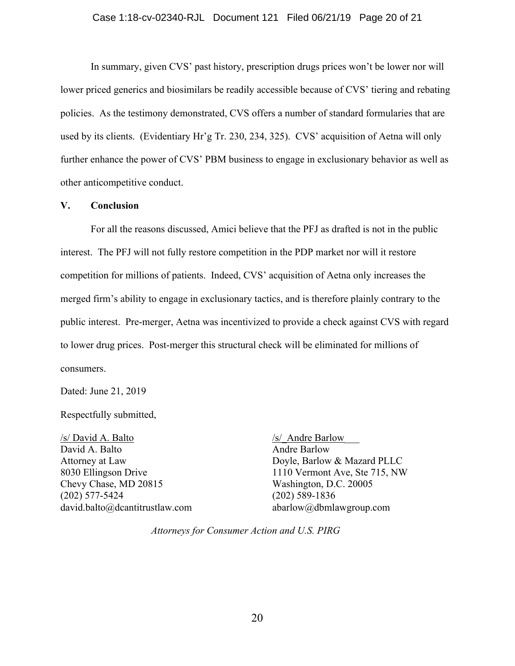In summary, given CVS' past history, prescription drugs prices won't be lower nor will lower priced generics and biosimilars be readily accessible because of CVS' tiering and rebating policies. As the testimony demonstrated, CVS offers a number of standard formularies that are used by its clients. (Evidentiary Hr'g Tr. 230, 234, 325). CVS' acquisition of Aetna will only further enhance the power of CVS' PBM business to engage in exclusionary behavior as well as other anticompetitive conduct.

## **V. Conclusion**

For all the reasons discussed, Amici believe that the PFJ as drafted is not in the public interest. The PFJ will not fully restore competition in the PDP market nor will it restore competition for millions of patients. Indeed, CVS' acquisition of Aetna only increases the merged firm's ability to engage in exclusionary tactics, and is therefore plainly contrary to the public interest. Pre-merger, Aetna was incentivized to provide a check against CVS with regard to lower drug prices. Post-merger this structural check will be eliminated for millions of consumers.

Dated: June 21, 2019

Respectfully submitted,

/s/ David A. Balto /s/ Andre Barlow David A. Balto Andre Barlow Chevy Chase, MD 20815 Washington, D.C. 20005 (202) 577-5424 (202) 589-1836 david.balto@dcantitrustlaw.com abarlow@dbmlawgroup.com

Attorney at Law Doyle, Barlow & Mazard PLLC 8030 Ellingson Drive 1110 Vermont Ave, Ste 715, NW

*Attorneys for Consumer Action and U.S. PIRG*